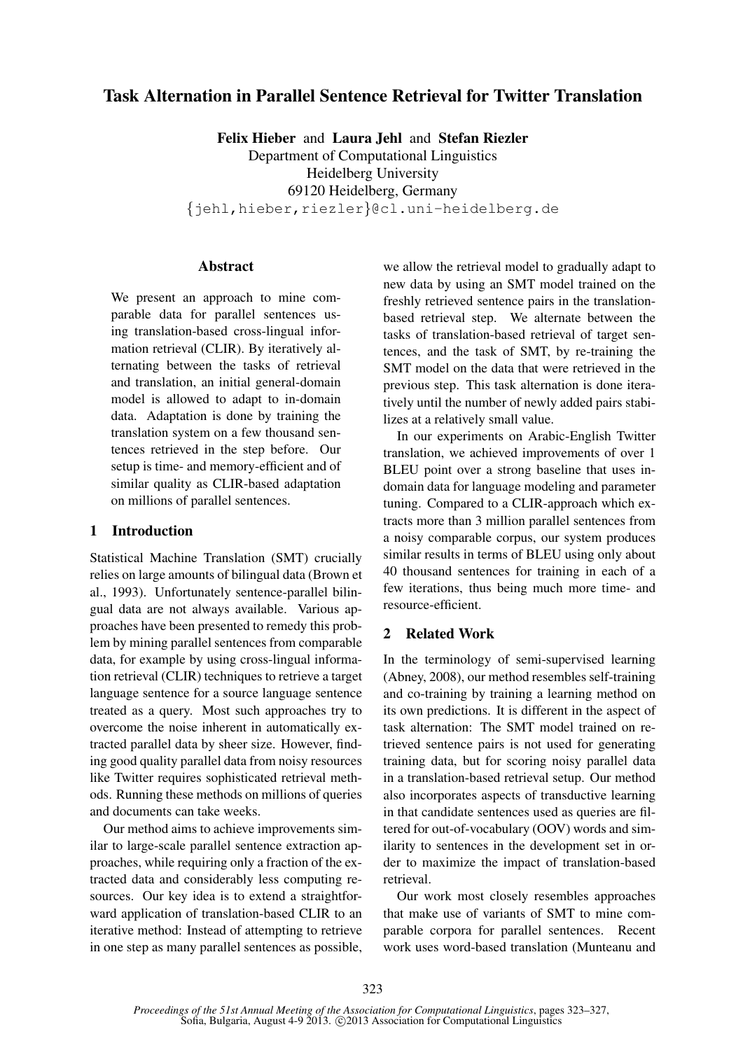# Task Alternation in Parallel Sentence Retrieval for Twitter Translation

Felix Hieber and Laura Jehl and Stefan Riezler Department of Computational Linguistics Heidelberg University 69120 Heidelberg, Germany {jehl,hieber,riezler}@cl.uni-heidelberg.de

# Abstract

We present an approach to mine comparable data for parallel sentences using translation-based cross-lingual information retrieval (CLIR). By iteratively alternating between the tasks of retrieval and translation, an initial general-domain model is allowed to adapt to in-domain data. Adaptation is done by training the translation system on a few thousand sentences retrieved in the step before. Our setup is time- and memory-efficient and of similar quality as CLIR-based adaptation on millions of parallel sentences.

# 1 Introduction

Statistical Machine Translation (SMT) crucially relies on large amounts of bilingual data (Brown et al., 1993). Unfortunately sentence-parallel bilingual data are not always available. Various approaches have been presented to remedy this problem by mining parallel sentences from comparable data, for example by using cross-lingual information retrieval (CLIR) techniques to retrieve a target language sentence for a source language sentence treated as a query. Most such approaches try to overcome the noise inherent in automatically extracted parallel data by sheer size. However, finding good quality parallel data from noisy resources like Twitter requires sophisticated retrieval methods. Running these methods on millions of queries and documents can take weeks.

Our method aims to achieve improvements similar to large-scale parallel sentence extraction approaches, while requiring only a fraction of the extracted data and considerably less computing resources. Our key idea is to extend a straightforward application of translation-based CLIR to an iterative method: Instead of attempting to retrieve in one step as many parallel sentences as possible,

we allow the retrieval model to gradually adapt to new data by using an SMT model trained on the freshly retrieved sentence pairs in the translationbased retrieval step. We alternate between the tasks of translation-based retrieval of target sentences, and the task of SMT, by re-training the SMT model on the data that were retrieved in the previous step. This task alternation is done iteratively until the number of newly added pairs stabilizes at a relatively small value.

In our experiments on Arabic-English Twitter translation, we achieved improvements of over 1 BLEU point over a strong baseline that uses indomain data for language modeling and parameter tuning. Compared to a CLIR-approach which extracts more than 3 million parallel sentences from a noisy comparable corpus, our system produces similar results in terms of BLEU using only about 40 thousand sentences for training in each of a few iterations, thus being much more time- and resource-efficient.

# 2 Related Work

In the terminology of semi-supervised learning (Abney, 2008), our method resembles self-training and co-training by training a learning method on its own predictions. It is different in the aspect of task alternation: The SMT model trained on retrieved sentence pairs is not used for generating training data, but for scoring noisy parallel data in a translation-based retrieval setup. Our method also incorporates aspects of transductive learning in that candidate sentences used as queries are filtered for out-of-vocabulary (OOV) words and similarity to sentences in the development set in order to maximize the impact of translation-based retrieval.

Our work most closely resembles approaches that make use of variants of SMT to mine comparable corpora for parallel sentences. Recent work uses word-based translation (Munteanu and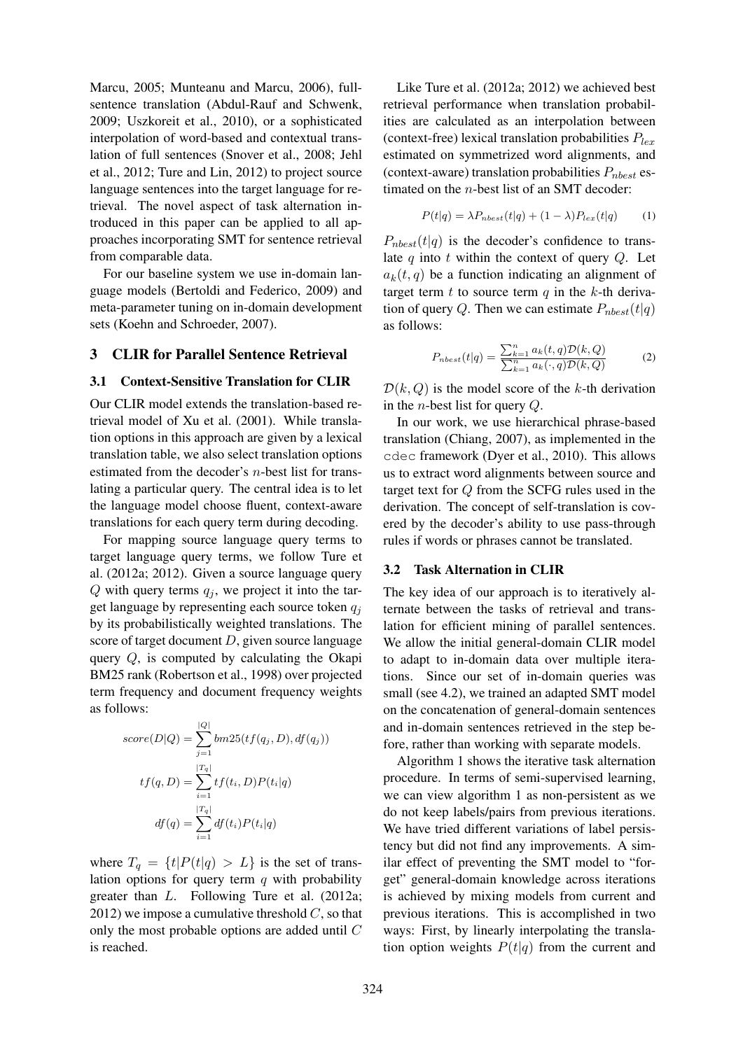Marcu, 2005; Munteanu and Marcu, 2006), fullsentence translation (Abdul-Rauf and Schwenk, 2009; Uszkoreit et al., 2010), or a sophisticated interpolation of word-based and contextual translation of full sentences (Snover et al., 2008; Jehl et al., 2012; Ture and Lin, 2012) to project source language sentences into the target language for retrieval. The novel aspect of task alternation introduced in this paper can be applied to all approaches incorporating SMT for sentence retrieval from comparable data.

For our baseline system we use in-domain language models (Bertoldi and Federico, 2009) and meta-parameter tuning on in-domain development sets (Koehn and Schroeder, 2007).

## 3 CLIR for Parallel Sentence Retrieval

# 3.1 Context-Sensitive Translation for CLIR

Our CLIR model extends the translation-based retrieval model of Xu et al. (2001). While translation options in this approach are given by a lexical translation table, we also select translation options estimated from the decoder's n-best list for translating a particular query. The central idea is to let the language model choose fluent, context-aware translations for each query term during decoding.

For mapping source language query terms to target language query terms, we follow Ture et al. (2012a; 2012). Given a source language query  $Q$  with query terms  $q_i$ , we project it into the target language by representing each source token  $q_i$ by its probabilistically weighted translations. The score of target document  $D$ , given source language query Q, is computed by calculating the Okapi BM25 rank (Robertson et al., 1998) over projected term frequency and document frequency weights as follows:

$$
score(D|Q) = \sum_{j=1}^{|Q|} bm25(tf(q_j, D), df(q_j))
$$

$$
tf(q, D) = \sum_{i=1}^{|T_q|} tf(t_i, D)P(t_i|q)
$$

$$
df(q) = \sum_{i=1}^{|T_q|} df(t_i)P(t_i|q)
$$

where  $T_q = \{t | P(t|q) > L\}$  is the set of translation options for query term  $q$  with probability greater than L. Following Ture et al. (2012a; 2012) we impose a cumulative threshold  $C$ , so that only the most probable options are added until C is reached.

Like Ture et al. (2012a; 2012) we achieved best retrieval performance when translation probabilities are calculated as an interpolation between (context-free) lexical translation probabilities  $P_{lex}$ estimated on symmetrized word alignments, and (context-aware) translation probabilities  $P_{nbest}$  estimated on the n-best list of an SMT decoder:

$$
P(t|q) = \lambda P_{nbest}(t|q) + (1 - \lambda)P_{lex}(t|q)
$$
 (1)

 $P_{nbest}(t|q)$  is the decoder's confidence to translate  $q$  into  $t$  within the context of query  $Q$ . Let  $a_k(t, q)$  be a function indicating an alignment of target term  $t$  to source term  $q$  in the  $k$ -th derivation of query Q. Then we can estimate  $P_{nbest}(t|q)$ as follows:

$$
P_{nbest}(t|q) = \frac{\sum_{k=1}^{n} a_k(t,q) \mathcal{D}(k,Q)}{\sum_{k=1}^{n} a_k(\cdot,q) \mathcal{D}(k,Q)} \tag{2}
$$

 $\mathcal{D}(k, Q)$  is the model score of the k-th derivation in the n-best list for query Q.

In our work, we use hierarchical phrase-based translation (Chiang, 2007), as implemented in the cdec framework (Dyer et al., 2010). This allows us to extract word alignments between source and target text for Q from the SCFG rules used in the derivation. The concept of self-translation is covered by the decoder's ability to use pass-through rules if words or phrases cannot be translated.

### 3.2 Task Alternation in CLIR

The key idea of our approach is to iteratively alternate between the tasks of retrieval and translation for efficient mining of parallel sentences. We allow the initial general-domain CLIR model to adapt to in-domain data over multiple iterations. Since our set of in-domain queries was small (see 4.2), we trained an adapted SMT model on the concatenation of general-domain sentences and in-domain sentences retrieved in the step before, rather than working with separate models.

Algorithm 1 shows the iterative task alternation procedure. In terms of semi-supervised learning, we can view algorithm 1 as non-persistent as we do not keep labels/pairs from previous iterations. We have tried different variations of label persistency but did not find any improvements. A similar effect of preventing the SMT model to "forget" general-domain knowledge across iterations is achieved by mixing models from current and previous iterations. This is accomplished in two ways: First, by linearly interpolating the translation option weights  $P(t|q)$  from the current and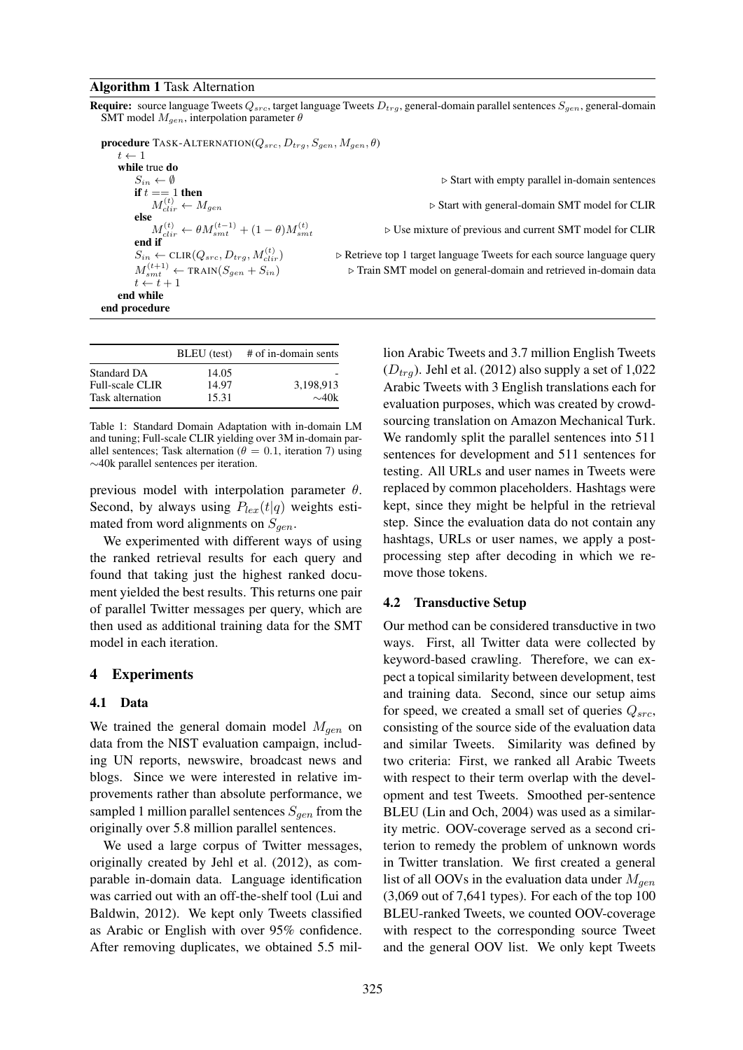#### Algorithm 1 Task Alternation

**Require:** source language Tweets  $Q_{src}$ , target language Tweets  $D_{trq}$ , general-domain parallel sentences  $S_{gen}$ , general-domain SMT model  $M_{gen}$ , interpolation parameter  $\theta$ 

**procedure** TASK-ALTERNATION( $Q_{src}$ ,  $D_{trq}$ ,  $S_{gen}$ ,  $M_{gen}$ ,  $\theta$ )  $t \leftarrow 1$ while true do  $S_{in} \leftarrow \emptyset$  . Start with empty parallel in-domain sentences if  $t == 1$  then  $M_{cli}^{(t)}$ else  $M_{clir}^{(t)} \leftarrow \theta M_{smt}^{(t-1)} + (1-\theta)M_{smt}^{(t)}$ end if  $S_{in} \leftarrow \text{CLIR}(Q_{src}, D_{trq}, M_{clir}^{(t)})$  $M_{smt}^{(t+1)}$  $t \leftarrow t + 1$ end while end procedure

|                                                           | BLEU (test)             | # of in-domain sents    |
|-----------------------------------------------------------|-------------------------|-------------------------|
| Standard DA<br><b>Full-scale CLIR</b><br>Task alternation | 14.05<br>14.97<br>15.31 | 3.198.913<br>$\sim$ 40k |

Table 1: Standard Domain Adaptation with in-domain LM and tuning; Full-scale CLIR yielding over 3M in-domain parallel sentences; Task alternation ( $\theta = 0.1$ , iteration 7) using ∼40k parallel sentences per iteration.

previous model with interpolation parameter  $\theta$ . Second, by always using  $P_{lex}(t|q)$  weights estimated from word alignments on  $S_{gen}$ .

We experimented with different ways of using the ranked retrieval results for each query and found that taking just the highest ranked document yielded the best results. This returns one pair of parallel Twitter messages per query, which are then used as additional training data for the SMT model in each iteration.

#### 4 Experiments

#### 4.1 Data

We trained the general domain model  $M_{gen}$  on data from the NIST evaluation campaign, including UN reports, newswire, broadcast news and blogs. Since we were interested in relative improvements rather than absolute performance, we sampled 1 million parallel sentences  $S_{gen}$  from the originally over 5.8 million parallel sentences.

We used a large corpus of Twitter messages, originally created by Jehl et al. (2012), as comparable in-domain data. Language identification was carried out with an off-the-shelf tool (Lui and Baldwin, 2012). We kept only Tweets classified as Arabic or English with over 95% confidence. After removing duplicates, we obtained 5.5 mil-

clir ← Mgen . Start with general-domain SMT model for CLIR

 $\triangleright$  Use mixture of previous and current SMT model for CLIR

 $\triangleright$  Retrieve top 1 target language Tweets for each source language query ⊳ Train SMT model on general-domain and retrieved in-domain data

> lion Arabic Tweets and 3.7 million English Tweets  $(D_{trq})$ . Jehl et al. (2012) also supply a set of 1,022 Arabic Tweets with 3 English translations each for evaluation purposes, which was created by crowdsourcing translation on Amazon Mechanical Turk. We randomly split the parallel sentences into 511 sentences for development and 511 sentences for testing. All URLs and user names in Tweets were replaced by common placeholders. Hashtags were kept, since they might be helpful in the retrieval step. Since the evaluation data do not contain any hashtags, URLs or user names, we apply a postprocessing step after decoding in which we remove those tokens.

#### 4.2 Transductive Setup

Our method can be considered transductive in two ways. First, all Twitter data were collected by keyword-based crawling. Therefore, we can expect a topical similarity between development, test and training data. Second, since our setup aims for speed, we created a small set of queries  $Q_{src}$ , consisting of the source side of the evaluation data and similar Tweets. Similarity was defined by two criteria: First, we ranked all Arabic Tweets with respect to their term overlap with the development and test Tweets. Smoothed per-sentence BLEU (Lin and Och, 2004) was used as a similarity metric. OOV-coverage served as a second criterion to remedy the problem of unknown words in Twitter translation. We first created a general list of all OOVs in the evaluation data under  $M_{gen}$ (3,069 out of 7,641 types). For each of the top 100 BLEU-ranked Tweets, we counted OOV-coverage with respect to the corresponding source Tweet and the general OOV list. We only kept Tweets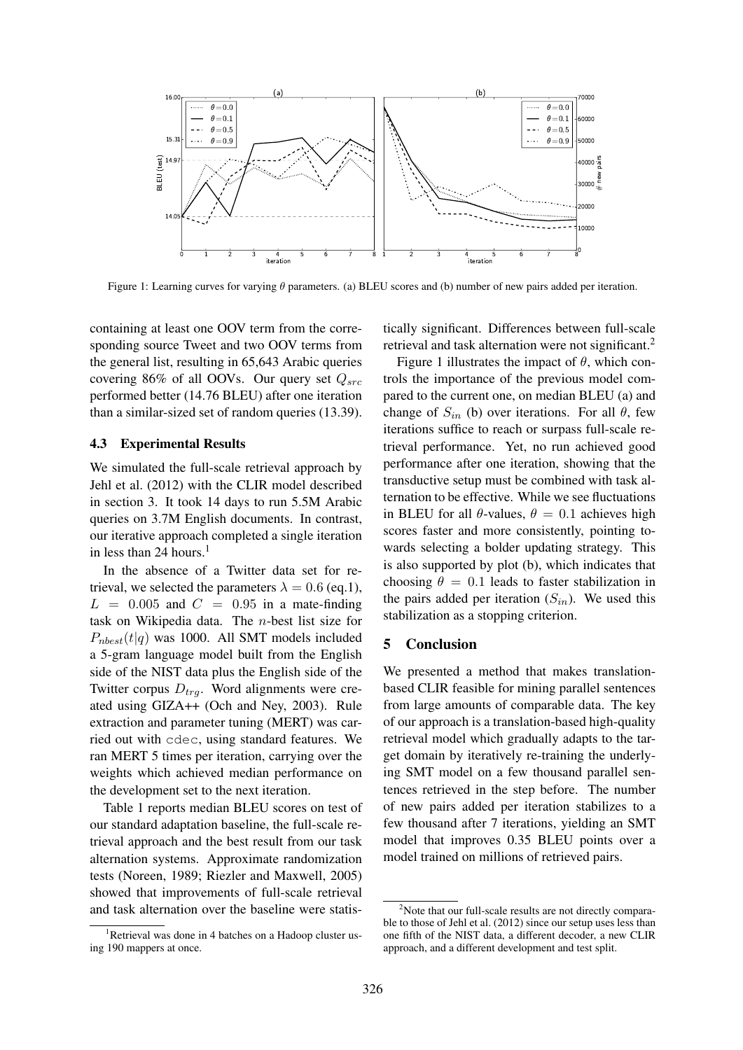

Figure 1: Learning curves for varying  $\theta$  parameters. (a) BLEU scores and (b) number of new pairs added per iteration.

containing at least one OOV term from the corresponding source Tweet and two OOV terms from the general list, resulting in 65,643 Arabic queries covering 86% of all OOVs. Our query set  $Q_{src}$ performed better (14.76 BLEU) after one iteration than a similar-sized set of random queries (13.39).

### 4.3 Experimental Results

We simulated the full-scale retrieval approach by Jehl et al. (2012) with the CLIR model described in section 3. It took 14 days to run 5.5M Arabic queries on 3.7M English documents. In contrast, our iterative approach completed a single iteration in less than 24 hours. $<sup>1</sup>$ </sup>

In the absence of a Twitter data set for retrieval, we selected the parameters  $\lambda = 0.6$  (eq.1),  $L = 0.005$  and  $C = 0.95$  in a mate-finding task on Wikipedia data. The n-best list size for  $P_{nbest}(t|q)$  was 1000. All SMT models included a 5-gram language model built from the English side of the NIST data plus the English side of the Twitter corpus  $D_{tra}$ . Word alignments were created using GIZA++ (Och and Ney, 2003). Rule extraction and parameter tuning (MERT) was carried out with cdec, using standard features. We ran MERT 5 times per iteration, carrying over the weights which achieved median performance on the development set to the next iteration.

Table 1 reports median BLEU scores on test of our standard adaptation baseline, the full-scale retrieval approach and the best result from our task alternation systems. Approximate randomization tests (Noreen, 1989; Riezler and Maxwell, 2005) showed that improvements of full-scale retrieval and task alternation over the baseline were statistically significant. Differences between full-scale retrieval and task alternation were not significant.<sup>2</sup>

Figure 1 illustrates the impact of  $\theta$ , which controls the importance of the previous model compared to the current one, on median BLEU (a) and change of  $S_{in}$  (b) over iterations. For all  $\theta$ , few iterations suffice to reach or surpass full-scale retrieval performance. Yet, no run achieved good performance after one iteration, showing that the transductive setup must be combined with task alternation to be effective. While we see fluctuations in BLEU for all  $\theta$ -values,  $\theta = 0.1$  achieves high scores faster and more consistently, pointing towards selecting a bolder updating strategy. This is also supported by plot (b), which indicates that choosing  $\theta = 0.1$  leads to faster stabilization in the pairs added per iteration  $(S_{in})$ . We used this stabilization as a stopping criterion.

#### 5 Conclusion

We presented a method that makes translationbased CLIR feasible for mining parallel sentences from large amounts of comparable data. The key of our approach is a translation-based high-quality retrieval model which gradually adapts to the target domain by iteratively re-training the underlying SMT model on a few thousand parallel sentences retrieved in the step before. The number of new pairs added per iteration stabilizes to a few thousand after 7 iterations, yielding an SMT model that improves 0.35 BLEU points over a model trained on millions of retrieved pairs.

<sup>&</sup>lt;sup>1</sup>Retrieval was done in 4 batches on a Hadoop cluster using 190 mappers at once.

 $2$ Note that our full-scale results are not directly comparable to those of Jehl et al. (2012) since our setup uses less than one fifth of the NIST data, a different decoder, a new CLIR approach, and a different development and test split.